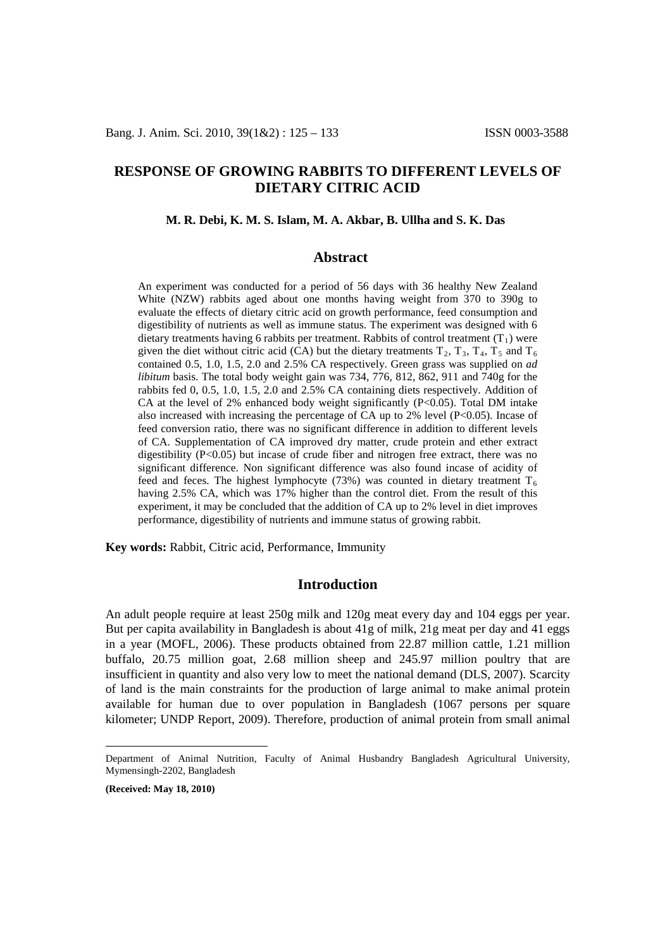# **RESPONSE OF GROWING RABBITS TO DIFFERENT LEVELS OF DIETARY CITRIC ACID**

### **M. R. Debi, K. M. S. Islam, M. A. Akbar, B. Ullha and S. K. Das[1](#page-0-0)**

### **Abstract**

An experiment was conducted for a period of 56 days with 36 healthy New Zealand White (NZW) rabbits aged about one months having weight from 370 to 390g to evaluate the effects of dietary citric acid on growth performance, feed consumption and digestibility of nutrients as well as immune status. The experiment was designed with 6 dietary treatments having 6 rabbits per treatment. Rabbits of control treatment  $(T_1)$  were given the diet without citric acid (CA) but the dietary treatments  $T_2$ ,  $T_3$ ,  $T_4$ ,  $T_5$  and  $T_6$ contained 0.5, 1.0, 1.5, 2.0 and 2.5% CA respectively. Green grass was supplied on *ad libitum* basis. The total body weight gain was 734, 776, 812, 862, 911 and 740g for the rabbits fed 0, 0.5, 1.0, 1.5, 2.0 and 2.5% CA containing diets respectively. Addition of CA at the level of 2% enhanced body weight significantly  $(P<0.05)$ . Total DM intake also increased with increasing the percentage of CA up to  $2\%$  level (P<0.05). Incase of feed conversion ratio, there was no significant difference in addition to different levels of CA. Supplementation of CA improved dry matter, crude protein and ether extract digestibility  $(P<0.05)$  but incase of crude fiber and nitrogen free extract, there was no significant difference. Non significant difference was also found incase of acidity of feed and feces. The highest lymphocyte (73%) was counted in dietary treatment  $T_6$ having 2.5% CA, which was 17% higher than the control diet. From the result of this experiment, it may be concluded that the addition of CA up to 2% level in diet improves performance, digestibility of nutrients and immune status of growing rabbit.

**Key words:** Rabbit, Citric acid, Performance, Immunity

### **Introduction**

An adult people require at least 250g milk and 120g meat every day and 104 eggs per year. But per capita availability in Bangladesh is about 41g of milk, 21g meat per day and 41 eggs in a year (MOFL, 2006). These products obtained from 22.87 million cattle, 1.21 million buffalo, 20.75 million goat, 2.68 million sheep and 245.97 million poultry that are insufficient in quantity and also very low to meet the national demand (DLS, 2007). Scarcity of land is the main constraints for the production of large animal to make animal protein available for human due to over population in Bangladesh (1067 persons per square kilometer; UNDP Report, 2009). Therefore, production of animal protein from small animal

<span id="page-0-0"></span>Department of Animal Nutrition, Faculty of Animal Husbandry Bangladesh Agricultural University, Mymensingh-2202, Bangladesh

**<sup>(</sup>Received: May 18, 2010)**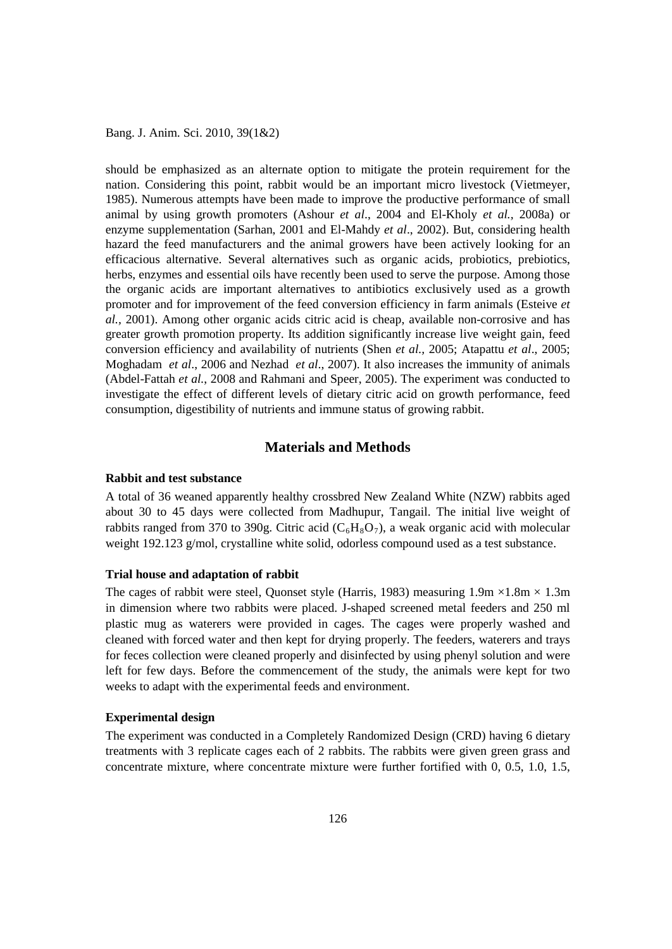should be emphasized as an alternate option to mitigate the protein requirement for the nation. Considering this point, rabbit would be an important micro livestock (Vietmeyer, 1985). Numerous attempts have been made to improve the productive performance of small animal by using growth promoters (Ashour *et al*., 2004 and El-Kholy *et al.,* 2008a) or enzyme supplementation (Sarhan, 2001 and El-Mahdy *et al*., 2002). But, considering health hazard the feed manufacturers and the animal growers have been actively looking for an efficacious alternative. Several alternatives such as organic acids, probiotics, prebiotics, herbs, enzymes and essential oils have recently been used to serve the purpose. Among those the organic acids are important alternatives to antibiotics exclusively used as a growth promoter and for improvement of the feed conversion efficiency in farm animals (Esteive *et al.,* 2001). Among other organic acids citric acid is cheap, available non-corrosive and has greater growth promotion property. Its addition significantly increase live weight gain, feed conversion efficiency and availability of nutrients (Shen *et al.,* 2005; Atapattu *et al*., 2005; Moghadam *et al*., 2006 and Nezhad *et al*., 2007). It also increases the immunity of animals (Abdel-Fattah *et al.*, 2008 and Rahmani and Speer, 2005). The experiment was conducted to investigate the effect of different levels of dietary citric acid on growth performance, feed consumption, digestibility of nutrients and immune status of growing rabbit.

## **Materials and Methods**

### **Rabbit and test substance**

A total of 36 weaned apparently healthy crossbred New Zealand White (NZW) rabbits aged about 30 to 45 days were collected from Madhupur, Tangail. The initial live weight of rabbits ranged from 370 to 390g. Citric acid  $(C_6H_8O_7)$ , a weak organic acid with molecular weight 192.123 g/mol, crystalline white solid, odorless compound used as a test substance.

### **Trial house and adaptation of rabbit**

The cages of rabbit were steel, Quonset style (Harris, 1983) measuring  $1.9m \times 1.8m \times 1.3m$ in dimension where two rabbits were placed. J-shaped screened metal feeders and 250 ml plastic mug as waterers were provided in cages. The cages were properly washed and cleaned with forced water and then kept for drying properly. The feeders, waterers and trays for feces collection were cleaned properly and disinfected by using phenyl solution and were left for few days. Before the commencement of the study, the animals were kept for two weeks to adapt with the experimental feeds and environment.

#### **Experimental design**

The experiment was conducted in a Completely Randomized Design (CRD) having 6 dietary treatments with 3 replicate cages each of 2 rabbits. The rabbits were given green grass and concentrate mixture, where concentrate mixture were further fortified with 0, 0.5, 1.0, 1.5,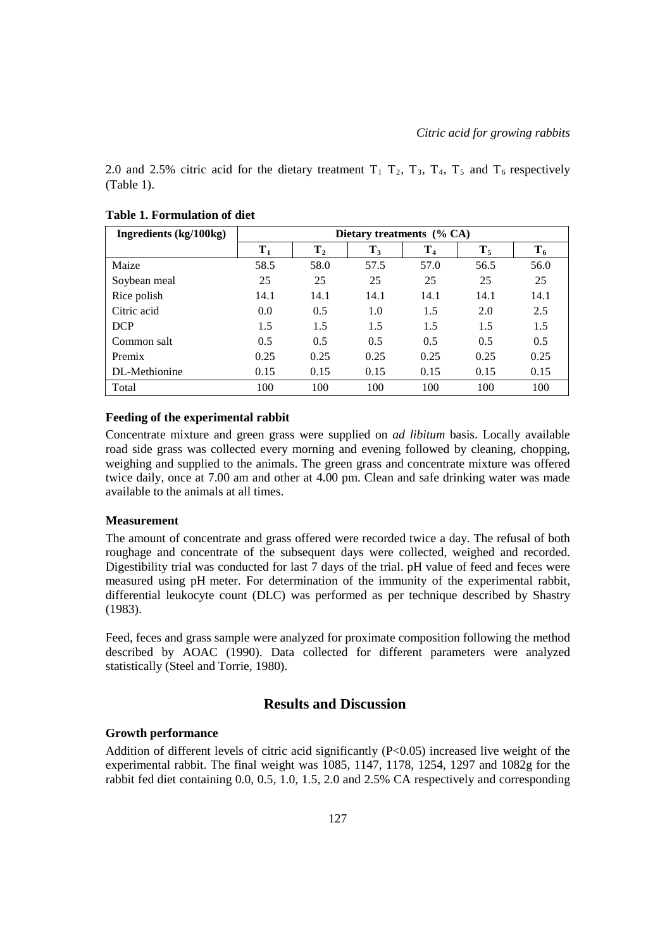2.0 and 2.5% citric acid for the dietary treatment  $T_1$   $T_2$ ,  $T_3$ ,  $T_4$ ,  $T_5$  and  $T_6$  respectively (Table 1).

| Ingredients (kg/100kg) | Dietary treatments $(\%$ CA) |         |       |                |       |       |  |  |  |
|------------------------|------------------------------|---------|-------|----------------|-------|-------|--|--|--|
|                        | $T_1$                        | $T_{2}$ | $T_3$ | T <sub>4</sub> | $T_5$ | $T_6$ |  |  |  |
| Maize                  | 58.5                         | 58.0    | 57.5  | 57.0           | 56.5  | 56.0  |  |  |  |
| Soybean meal           | 25                           | 25      | 25    | 25             | 25    | 25    |  |  |  |
| Rice polish            | 14.1                         | 14.1    | 14.1  | 14.1           | 14.1  | 14.1  |  |  |  |
| Citric acid            | 0.0                          | 0.5     | 1.0   | 1.5            | 2.0   | 2.5   |  |  |  |
| <b>DCP</b>             | 1.5                          | 1.5     | 1.5   | 1.5            | 1.5   | 1.5   |  |  |  |
| Common salt            | 0.5                          | 0.5     | 0.5   | 0.5            | 0.5   | 0.5   |  |  |  |
| Premix                 | 0.25                         | 0.25    | 0.25  | 0.25           | 0.25  | 0.25  |  |  |  |
| DL-Methionine          | 0.15                         | 0.15    | 0.15  | 0.15           | 0.15  | 0.15  |  |  |  |
| Total                  | 100                          | 100     | 100   | 100            | 100   | 100   |  |  |  |

## **Table 1. Formulation of diet**

### **Feeding of the experimental rabbit**

Concentrate mixture and green grass were supplied on *ad libitum* basis. Locally available road side grass was collected every morning and evening followed by cleaning, chopping, weighing and supplied to the animals. The green grass and concentrate mixture was offered twice daily, once at 7.00 am and other at 4.00 pm. Clean and safe drinking water was made available to the animals at all times.

### **Measurement**

The amount of concentrate and grass offered were recorded twice a day. The refusal of both roughage and concentrate of the subsequent days were collected, weighed and recorded. Digestibility trial was conducted for last 7 days of the trial. pH value of feed and feces were measured using pH meter. For determination of the immunity of the experimental rabbit, differential leukocyte count (DLC) was performed as per technique described by Shastry (1983).

Feed, feces and grass sample were analyzed for proximate composition following the method described by AOAC (1990). Data collected for different parameters were analyzed statistically (Steel and Torrie, 1980).

### **Results and Discussion**

### **Growth performance**

Addition of different levels of citric acid significantly  $(P<0.05)$  increased live weight of the experimental rabbit. The final weight was 1085, 1147, 1178, 1254, 1297 and 1082g for the rabbit fed diet containing 0.0, 0.5, 1.0, 1.5, 2.0 and 2.5% CA respectively and corresponding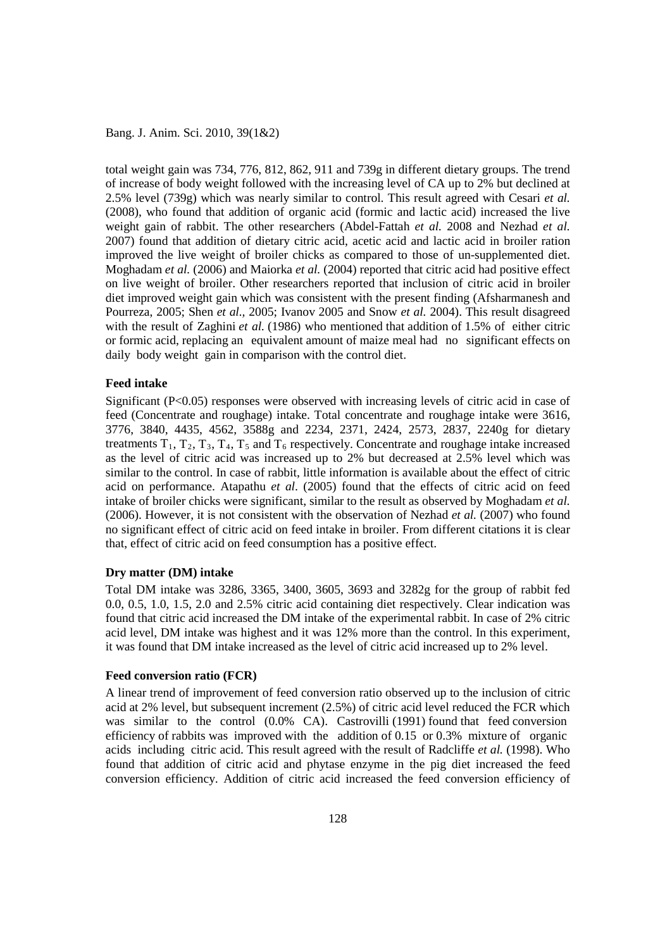total weight gain was 734, 776, 812, 862, 911 and 739g in different dietary groups. The trend of increase of body weight followed with the increasing level of CA up to 2% but declined at 2.5% level (739g) which was nearly similar to control. This result agreed with Cesari *et al.* (2008), who found that addition of organic acid (formic and lactic acid) increased the live weight gain of rabbit. The other researchers (Abdel-Fattah *et al.* 2008 and Nezhad *et al.* 2007) found that addition of dietary citric acid, acetic acid and lactic acid in broiler ration improved the live weight of broiler chicks as compared to those of un-supplemented diet. Moghadam *et al.* (2006) and Maiorka *et al.* (2004) reported that citric acid had positive effect on live weight of broiler. Other researchers reported that inclusion of citric acid in broiler diet improved weight gain which was consistent with the present finding (Afsharmanesh and Pourreza, 2005; Shen *et al.,* 2005; Ivanov 2005 and Snow *et al.* 2004). This result disagreed with the result of Zaghini *et al.* (1986) who mentioned that addition of 1.5% of either citric or formic acid, replacing an equivalent amount of maize meal had no significant effects on daily body weight gain in comparison with the control diet.

### **Feed intake**

Significant (P<0.05) responses were observed with increasing levels of citric acid in case of feed (Concentrate and roughage) intake. Total concentrate and roughage intake were 3616, 3776, 3840, 4435, 4562, 3588g and 2234, 2371, 2424, 2573, 2837, 2240g for dietary treatments  $T_1, T_2, T_3, T_4, T_5$  and  $T_6$  respectively. Concentrate and roughage intake increased as the level of citric acid was increased up to 2% but decreased at 2.5% level which was similar to the control. In case of rabbit, little information is available about the effect of citric acid on performance. Atapathu *et al*. (2005) found that the effects of citric acid on feed intake of broiler chicks were significant, similar to the result as observed by Moghadam *et al.* (2006). However, it is not consistent with the observation of Nezhad *et al.* (2007) who found no significant effect of citric acid on feed intake in broiler. From different citations it is clear that, effect of citric acid on feed consumption has a positive effect.

### **Dry matter (DM) intake**

Total DM intake was 3286, 3365, 3400, 3605, 3693 and 3282g for the group of rabbit fed 0.0, 0.5, 1.0, 1.5, 2.0 and 2.5% citric acid containing diet respectively. Clear indication was found that citric acid increased the DM intake of the experimental rabbit. In case of 2% citric acid level, DM intake was highest and it was 12% more than the control. In this experiment, it was found that DM intake increased as the level of citric acid increased up to 2% level.

#### **Feed conversion ratio (FCR)**

A linear trend of improvement of feed conversion ratio observed up to the inclusion of citric acid at 2% level, but subsequent increment (2.5%) of citric acid level reduced the FCR which was similar to the control (0.0% CA). Castrovilli (1991) found that feed conversion efficiency of rabbits was improved with the addition of 0.15 or 0.3% mixture of organic acids including citric acid. This result agreed with the result of Radcliffe *et al.* (1998). Who found that addition of citric acid and phytase enzyme in the pig diet increased the feed conversion efficiency. Addition of citric acid increased the feed conversion efficiency of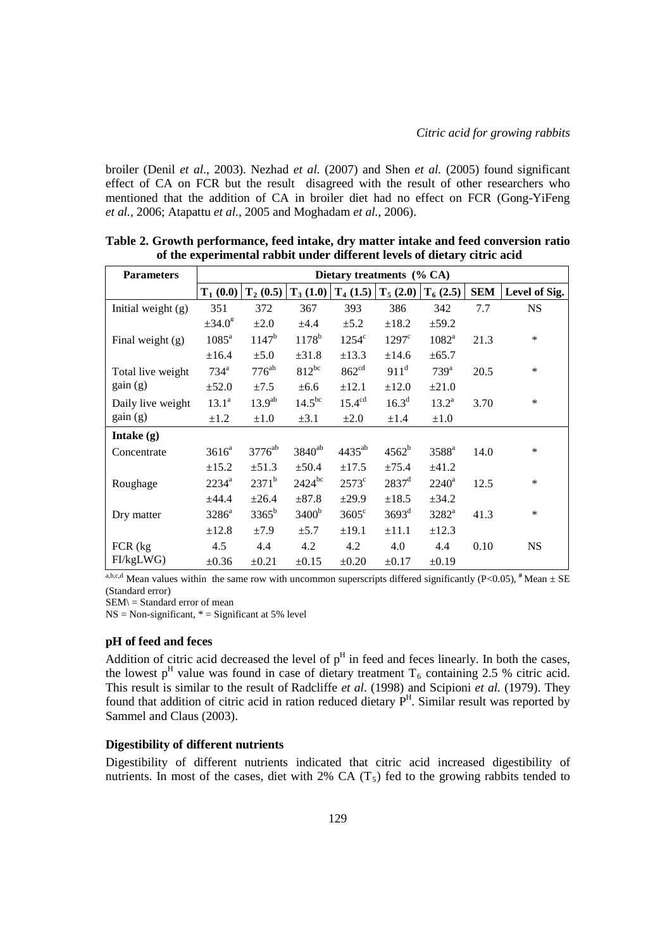broiler (Denil *et al*., 2003). Nezhad *et al.* (2007) and Shen *et al.* (2005) found significant effect of CA on FCR but the result disagreed with the result of other researchers who mentioned that the addition of CA in broiler diet had no effect on FCR (Gong-YiFeng *et al.,* 2006; Atapattu *et al.,* 2005 and Moghadam *et al.,* 2006).

| <b>Parameters</b>    | Dietary treatments $(\%$ CA) |                    |                   |                    |                         |                   |            |               |  |
|----------------------|------------------------------|--------------------|-------------------|--------------------|-------------------------|-------------------|------------|---------------|--|
|                      | $T_1(0.0)$                   | $T_2(0.5)$         | $T_3(1.0)$        |                    | $T_4$ (1.5) $T_5$ (2.0) | $T_6(2.5)$        | <b>SEM</b> | Level of Sig. |  |
| Initial weight $(g)$ | 351                          | 372                | 367               | 393                | 386                     | 342               | 7.7        | <b>NS</b>     |  |
|                      | $\pm 34.0^{\#}$              | $\pm 2.0$          | ±4.4              | $\pm$ 5.2          | $\pm 18.2$              | $\pm$ 59.2        |            |               |  |
| Final weight (g)     | $1085^a$                     | $1147^b$           | $1178^b$          | $1254^{\circ}$     | $1297^{\circ}$          | $1082^a$          | 21.3       | $\ast$        |  |
|                      | ±16.4                        | $\pm 5.0$          | $\pm 31.8$        | $\pm$ 13.3         | ±14.6                   | ±65.7             |            |               |  |
| Total live weight    | $734^{\mathrm{a}}$           | $776^{ab}$         | $812^{bc}$        | 862 <sup>cd</sup>  | $911^d$                 | 739 <sup>a</sup>  | 20.5       | $\ast$        |  |
| gain(g)              | $\pm 52.0$                   | ±7.5               | $\pm 6.6$         | $\pm 12.1$         | $\pm 12.0$              | $\pm 21.0$        |            |               |  |
| Daily live weight    | 13.1 <sup>a</sup>            | 13.9 <sup>ab</sup> | $14.5^{bc}$       | 15.4 <sup>cd</sup> | $16.3^d$                | $13.2^a$          | 3.70       | $\ast$        |  |
| gain(g)              | $\pm 1.2$                    | $\pm 1.0$          | $\pm 3.1$         | $\pm 2.0$          | $\pm 1.4$               | $\pm 1.0$         |            |               |  |
| Intake $(g)$         |                              |                    |                   |                    |                         |                   |            |               |  |
| Concentrate          | $3616^a$                     | 3776 <sup>ab</sup> | $3840^{ab}$       | $4435^{ab}$        | $4562^b$                | 3588 <sup>a</sup> | 14.0       | $\ast$        |  |
|                      | $\pm 15.2$                   | $\pm 51.3$         | ±50.4             | $\pm 17.5$         | ±75.4                   | ±41.2             |            |               |  |
| Roughage             | $2234^a$                     | $2371^b$           | $2424^{bc}$       | $2573^{\circ}$     | $2837$ <sup>d</sup>     | $2240^a$          | 12.5       | $\ast$        |  |
|                      | ±44.4                        | $\pm 26.4$         | $\pm 87.8$        | $\pm 29.9$         | $\pm 18.5$              | ±34.2             |            |               |  |
| Dry matter           | $3286^a$                     | $3365^b$           | 3400 <sup>b</sup> | $3605^{\circ}$     | 3693 <sup>d</sup>       | $3282^a$          | 41.3       | $\ast$        |  |
|                      | ±12.8                        | ±7.9               | ±5.7              | $\pm 19.1$         | $\pm 11.1$              | $\pm 12.3$        |            |               |  |
| $FCR$ (kg)           | 4.5                          | 4.4                | 4.2               | 4.2                | 4.0                     | 4.4               | 0.10       | <b>NS</b>     |  |
| FI/kgLWG)            | $\pm 0.36$                   | $\pm 0.21$         | $\pm 0.15$        | $\pm 0.20$         | $\pm 0.17$              | $\pm 0.19$        |            |               |  |

**Table 2. Growth performance, feed intake, dry matter intake and feed conversion ratio of the experimental rabbit under different levels of dietary citric acid** 

a,b,c,d Mean values within the same row with uncommon superscripts differed significantly  $(P<0.05)$ ,  $^#$  Mean  $\pm$  SE (Standard error)

 $SEM$  = Standard error of mean

 $NS = Non-significant, * = Significant at 5% level$ 

### **pH of feed and feces**

Addition of citric acid decreased the level of  $p<sup>H</sup>$  in feed and feces linearly. In both the cases, the lowest p<sup>H</sup> value was found in case of dietary treatment  $T_6$  containing 2.5 % citric acid. This result is similar to the result of Radcliffe *et al*. (1998) and Scipioni *et al.* (1979). They found that addition of citric acid in ration reduced dietary P<sup>H</sup>. Similar result was reported by Sammel and Claus (2003).

#### **Digestibility of different nutrients**

Digestibility of different nutrients indicated that citric acid increased digestibility of nutrients. In most of the cases, diet with 2% CA  $(T<sub>5</sub>)$  fed to the growing rabbits tended to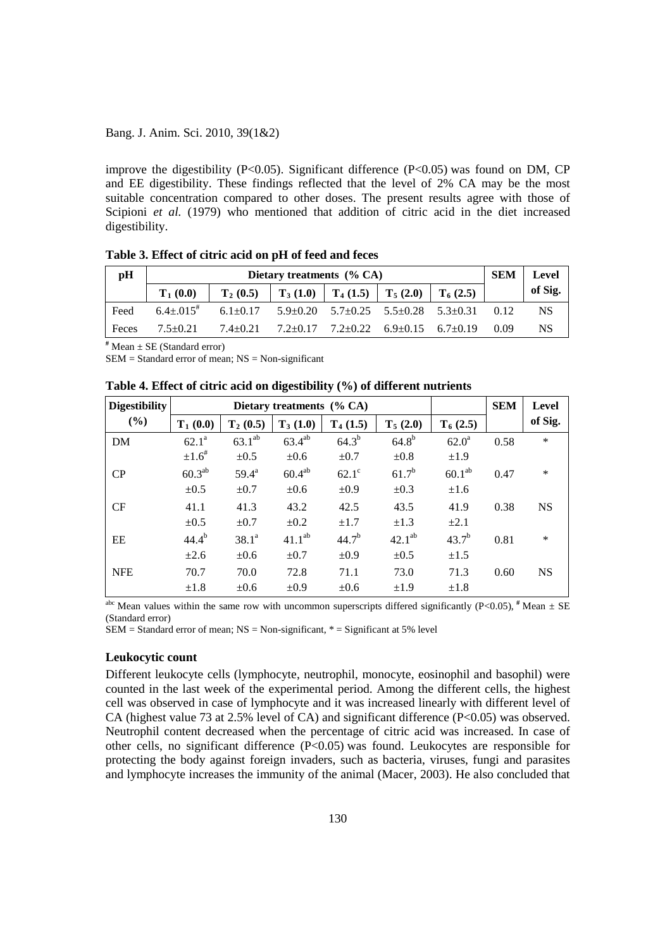improve the digestibility (P<0.05). Significant difference (P<0.05) was found on DM, CP and EE digestibility. These findings reflected that the level of 2% CA may be the most suitable concentration compared to other doses. The present results agree with those of Scipioni *et al.* (1979) who mentioned that addition of citric acid in the diet increased digestibility.

| pH    |               | SEM            | <b>Level</b>                                                                        |                                             |            |      |         |
|-------|---------------|----------------|-------------------------------------------------------------------------------------|---------------------------------------------|------------|------|---------|
|       | $T_1(0.0)$    | $T_2(0.5)$     | $\mid$ T <sub>3</sub> (1.0) $\mid$ T <sub>4</sub> (1.5) $\mid$ T <sub>5</sub> (2.0) |                                             | $T_6(2.5)$ |      | of Sig. |
| Feed  | $6.4 + 0.015$ | $6.1 + 0.17$   |                                                                                     | $5.9+0.20$ $5.7+0.25$ $5.5+0.28$ $5.3+0.31$ |            | 0.12 | NS.     |
| Feces | $7.5 + 0.21$  | $7.4 \pm 0.21$ |                                                                                     | $7.2+0.17$ $7.2+0.22$ $6.9+0.15$ $6.7+0.19$ |            | 0.09 | NS.     |

**Table 3. Effect of citric acid on pH of feed and feces**

**#** Mean ± SE (Standard error)

 $SEM = Standard$  error of mean;  $NS = Non-significant$ 

| <b>Digestibility</b> |                      |                | <b>SEM</b>  | Level        |             |                    |      |           |
|----------------------|----------------------|----------------|-------------|--------------|-------------|--------------------|------|-----------|
| (%)                  | $T_1(0.0)$           | $T_2(0.5)$     | $T_3(1.0)$  | $T_4(1.5)$   | $T_5(2.0)$  | $T_6(2.5)$         |      | of Sig.   |
| <b>DM</b>            | $62.1^{\circ}$       | $63.1^{ab}$    | $63.4^{ab}$ | $64.3^{b}$   | $64.8^{b}$  | 62.0 <sup>a</sup>  | 0.58 | *         |
|                      | $\pm 1.6^{\text{*}}$ | $\pm 0.5$      | $\pm 0.6$   | $\pm 0.7$    | $\pm 0.8$   | ±1.9               |      |           |
| CP                   | $60.3^{ab}$          | $59.4^{\rm a}$ | $60.4^{ab}$ | $62.1^\circ$ | $61.7^{b}$  | 60.1 <sup>ab</sup> | 0.47 | $\ast$    |
|                      | $\pm 0.5$            | $\pm 0.7$      | $\pm 0.6$   | $\pm 0.9$    | $\pm 0.3$   | $\pm 1.6$          |      |           |
| CF                   | 41.1                 | 41.3           | 43.2        | 42.5         | 43.5        | 41.9               | 0.38 | <b>NS</b> |
|                      | $\pm 0.5$            | $\pm 0.7$      | $\pm 0.2$   | $\pm 1.7$    | $\pm 1.3$   | $\pm 2.1$          |      |           |
| EE                   | $44.4^{b}$           | $38.1^a$       | $41.1^{ab}$ | $44.7^{b}$   | $42.1^{ab}$ | $43.7^{b}$         | 0.81 | *         |
|                      | $\pm 2.6$            | $\pm 0.6$      | $\pm 0.7$   | $\pm 0.9$    | $\pm 0.5$   | $\pm 1.5$          |      |           |
| <b>NFE</b>           | 70.7                 | 70.0           | 72.8        | 71.1         | 73.0        | 71.3               | 0.60 | <b>NS</b> |
|                      | $\pm 1.8$            | $\pm 0.6$      | $\pm 0.9$   | $\pm 0.6$    | ±1.9        | $\pm 1.8$          |      |           |

<sup>abc</sup> Mean values within the same row with uncommon superscripts differed significantly (P<0.05),  $^{\#}$  Mean  $\pm$  SE (Standard error)

 $SEM = Standard$  error of mean;  $NS = Non-significant$ ,  $* = Significant$  at 5% level

#### **Leukocytic count**

Different leukocyte cells (lymphocyte, neutrophil, monocyte, eosinophil and basophil) were counted in the last week of the experimental period. Among the different cells, the highest cell was observed in case of lymphocyte and it was increased linearly with different level of CA (highest value 73 at 2.5% level of CA) and significant difference  $(P<0.05)$  was observed. Neutrophil content decreased when the percentage of citric acid was increased. In case of other cells, no significant difference (P<0.05) was found. Leukocytes are responsible for protecting the body against foreign invaders, such as bacteria, viruses, fungi and parasites and lymphocyte increases the immunity of the animal (Macer, 2003). He also concluded that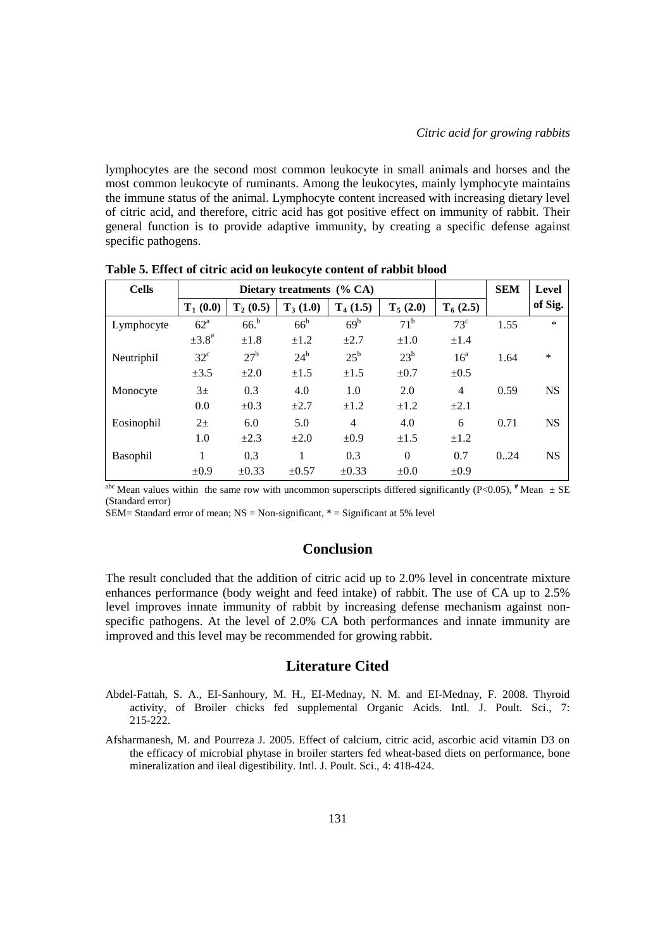lymphocytes are the second most common leukocyte in small animals and horses and the most common leukocyte of ruminants. Among the leukocytes, mainly lymphocyte maintains the immune status of the animal. Lymphocyte content increased with increasing dietary level of citric acid, and therefore, citric acid has got positive effect on immunity of rabbit. Their general function is to provide adaptive immunity, by creating a specific defense against specific pathogens.

| <b>Cells</b>    | Dietary treatments (% CA) |                 |              |                 |              |                 | <b>SEM</b> | Level     |
|-----------------|---------------------------|-----------------|--------------|-----------------|--------------|-----------------|------------|-----------|
|                 | $T_1(0.0)$                | $T_2(0.5)$      | $T_3(1.0)$   | $T_4(1.5)$      | $T_5(2.0)$   | $T_6(2.5)$      |            | of Sig.   |
| Lymphocyte      | 62 <sup>a</sup>           | 66 <sup>b</sup> | $66^{\rm b}$ | 69 <sup>b</sup> | $71^{\rm b}$ | $73^{\circ}$    | 1.55       | $\ast$    |
|                 | $\pm 3.8^{\text{*}}$      | $\pm 1.8$       | $\pm 1.2$    | $+2.7$          | $\pm 1.0$    | $\pm 1.4$       |            |           |
| Neutriphil      | $32^{\circ}$              | $27^{\rm b}$    | $24^b$       | $25^{\rm b}$    | $23^b$       | 16 <sup>a</sup> | 1.64       | *         |
|                 | $\pm 3.5$                 | $\pm 2.0$       | $\pm 1.5$    | $\pm 1.5$       | $\pm 0.7$    | $\pm 0.5$       |            |           |
| Monocyte        | 3 <sup>±</sup>            | 0.3             | 4.0          | 1.0             | 2.0          | $\overline{4}$  | 0.59       | <b>NS</b> |
|                 | 0.0                       | $\pm 0.3$       | $\pm 2.7$    | $\pm 1.2$       | $\pm 1.2$    | $\pm 2.1$       |            |           |
| Eosinophil      | $2+$                      | 6.0             | 5.0          | 4               | 4.0          | 6               | 0.71       | <b>NS</b> |
|                 | 1.0                       | $+2.3$          | $\pm 2.0$    | ±0.9            | $\pm 1.5$    | $\pm 1.2$       |            |           |
| <b>Basophil</b> |                           | 0.3             | 1            | 0.3             | $\Omega$     | 0.7             | 0.24       | <b>NS</b> |
|                 | ±0.9                      | $\pm 0.33$      | $\pm 0.57$   | $\pm 0.33$      | $\pm 0.0$    | $\pm 0.9$       |            |           |

**Table 5. Effect of citric acid on leukocyte content of rabbit blood**

<sup>abc</sup> Mean values within the same row with uncommon superscripts differed significantly (P<0.05),  $^{\#}$ Mean  $\pm$  SE (Standard error)

SEM= Standard error of mean;  $NS = Non-significant$ ,  $* = Significant$  at 5% level

### **Conclusion**

The result concluded that the addition of citric acid up to 2.0% level in concentrate mixture enhances performance (body weight and feed intake) of rabbit. The use of CA up to 2.5% level improves innate immunity of rabbit by increasing defense mechanism against nonspecific pathogens. At the level of 2.0% CA both performances and innate immunity are improved and this level may be recommended for growing rabbit.

### **Literature Cited**

- Abdel-Fattah, S. A., EI-Sanhoury, M. H., EI-Mednay, N. M. and EI-Mednay, F. 2008. Thyroid activity, of Broiler chicks fed supplemental Organic Acids. Intl. J. Poult. Sci., 7: 215-222.
- Afsharmanesh, M. and Pourreza J. 2005. Effect of calcium, citric acid, ascorbic acid vitamin D3 on the efficacy of microbial phytase in broiler starters fed wheat-based diets on performance, bone mineralization and ileal digestibility. Intl. J. Poult. Sci., 4: 418-424.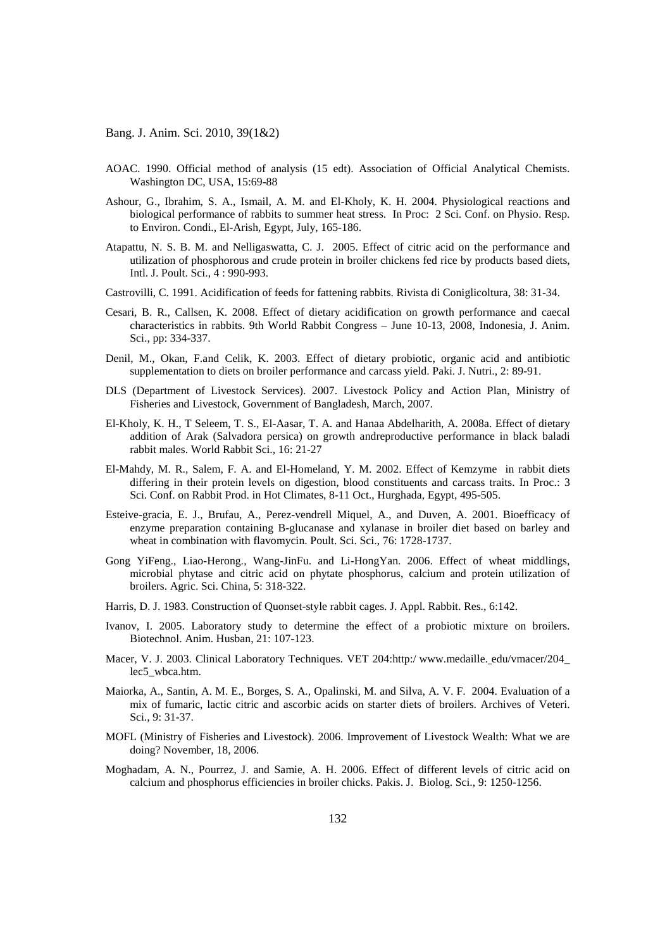- AOAC. 1990. Official method of analysis (15 edt). Association of Official Analytical Chemists. Washington DC, USA, 15:69-88
- Ashour, G., Ibrahim, S. A., Ismail, A. M. and El-Kholy, K. H. 2004. Physiological reactions and biological performance of rabbits to summer heat stress. In Proc: 2 Sci. Conf. on Physio. Resp. to Environ. Condi., El-Arish, Egypt, July, 165-186.
- Atapattu, N. S. B. M. and Nelligaswatta, C. J. 2005. Effect of citric acid on the performance and utilization of phosphorous and crude protein in broiler chickens fed rice by products based diets, Intl. J. Poult. Sci., 4 : 990-993.
- Castrovilli, C. 1991. Acidification of feeds for fattening rabbits. Rivista di Coniglicoltura, 38: 31-34.
- Cesari, B. R., Callsen, K. 2008. Effect of dietary acidification on growth performance and caecal characteristics in rabbits. 9th World Rabbit Congress – June 10-13, 2008, Indonesia, J. Anim. Sci., pp: 334-337.
- Denil, M., Okan, F.and Celik, K. 2003. Effect of dietary probiotic, organic acid and antibiotic supplementation to diets on broiler performance and carcass yield. Paki. J. Nutri., 2: 89-91.
- DLS (Department of Livestock Services). 2007. Livestock Policy and Action Plan, Ministry of Fisheries and Livestock, Government of Bangladesh, March, 2007.
- El-Kholy, K. H., T Seleem, T. S., El-Aasar, T. A. and Hanaa Abdelharith, A. 2008a. Effect of dietary addition of Arak (Salvadora persica) on growth andreproductive performance in black baladi rabbit males. World Rabbit Sci., 16: 21-27
- El-Mahdy, M. R., Salem, F. A. and El-Homeland, Y. M. 2002. Effect of Kemzyme in rabbit diets differing in their protein levels on digestion, blood constituents and carcass traits. In Proc.: 3 Sci. Conf. on Rabbit Prod. in Hot Climates, 8-11 Oct., Hurghada, Egypt, 495-505.
- Esteive-gracia, E. J., Brufau, A., Perez-vendrell Miquel, A., and Duven, A. 2001. Bioefficacy of enzyme preparation containing B-glucanase and xylanase in broiler diet based on barley and wheat in combination with flavomycin. Poult. Sci. Sci., 76: 1728-1737.
- Gong YiFeng., Liao-Herong., Wang-JinFu. and Li-HongYan. 2006. Effect of wheat middlings, microbial phytase and citric acid on phytate phosphorus, calcium and protein utilization of broilers. Agric. Sci. China, 5: 318-322.
- Harris, D. J. 1983. Construction of Quonset-style rabbit cages. J. Appl. Rabbit. Res., 6:142.
- Ivanov, I. 2005. Laboratory study to determine the effect of a probiotic mixture on broilers. Biotechnol. Anim. Husban, 21: 107-123.
- Macer, V. J. 2003. Clinical Laboratory Techniques. VET 204:http:/ www.medaille. [edu/vmacer/204\\_](http://www.medaille.edu/vmacer/204_lec5_wbca.htm) [lec5\\_wbca.htm.](http://www.medaille.edu/vmacer/204_lec5_wbca.htm)
- Maiorka, A., Santin, A. M. E., Borges, S. A., Opalinski, M. and Silva, A. V. F. 2004. Evaluation of a mix of fumaric, lactic citric and ascorbic acids on starter diets of broilers. Archives of Veteri. Sci., 9: 31-37.
- MOFL (Ministry of Fisheries and Livestock). 2006. Improvement of Livestock Wealth: What we are doing? November, 18, 2006.
- Moghadam, A. N., Pourrez, J. and Samie, A. H. 2006. Effect of different levels of citric acid on calcium and phosphorus efficiencies in broiler chicks. Pakis. J. Biolog. Sci., 9: 1250-1256.